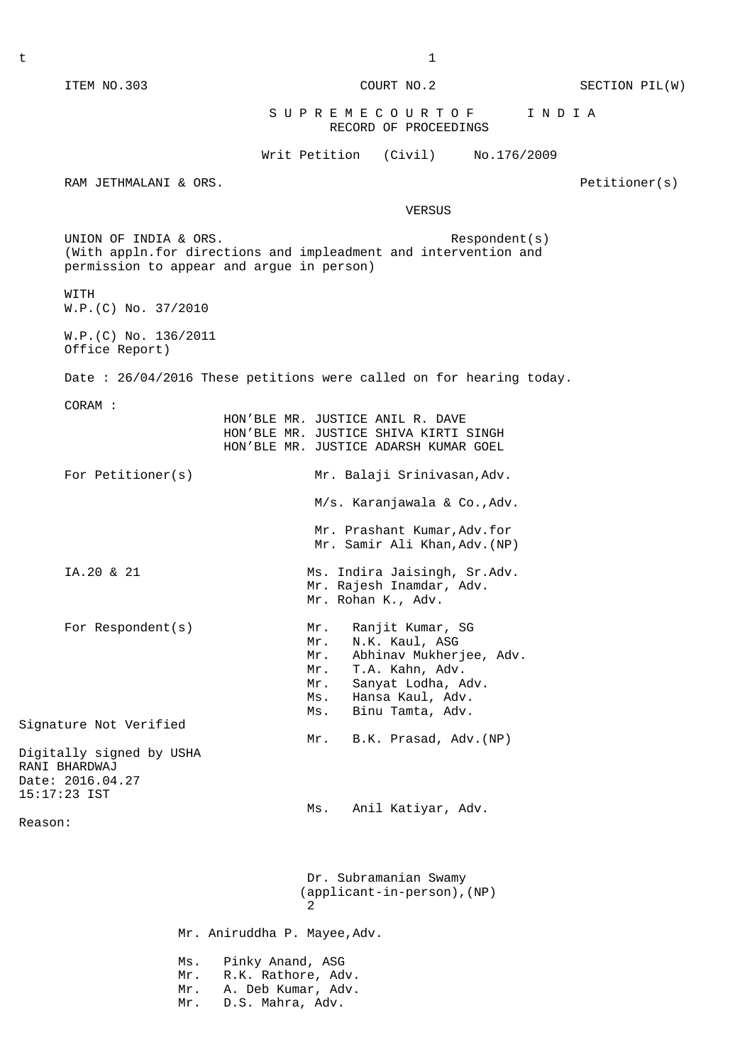ITEM NO.303 COURT NO.2 SECTION PIL(W)

## S U P R E M E C O U R T O F I N D I A RECORD OF PROCEEDINGS

Writ Petition (Civil) No.176/2009

RAM JETHMALANI & ORS. Petitioner(s)

**VERSUS** 

 (With appln.for directions and impleadment and intervention and permission to appear and argue in person) WITH W.P.(C) No. 37/2010 W.P.(C) No. 136/2011 Office Report) Date : 26/04/2016 These petitions were called on for hearing today. CORAM : HON'BLE MR. JUSTICE ANIL R. DAVE HON'BLE MR. JUSTICE SHIVA KIRTI SINGH HON'BLE MR. JUSTICE ADARSH KUMAR GOEL For Petitioner(s) Mr. Balaji Srinivasan, Adv. M/s. Karanjawala & Co.,Adv. Mr. Prashant Kumar,Adv.for Mr. Samir Ali Khan,Adv.(NP) IA.20 & 21 Ms. Indira Jaisingh, Sr.Adv. Mr. Rajesh Inamdar, Adv. Mr. Rohan K., Adv. For Respondent(s) Mr. Ranjit Kumar, SG Mr. N.K. Kaul, ASG Mr. Abhinav Mukherjee, Adv. Mr. T.A. Kahn, Adv. Mr. Sanyat Lodha, Adv. Ms. Hansa Kaul, Adv. Ms. Binu Tamta, Adv. Signature Not Verified Mr. B.K. Prasad, Adv.(NP) Digitally signed by USHA RANI BHARDWAJ Date: 2016.04.27 15:17:23 IST Ms. Anil Katiyar, Adv. Reason: Dr. Subramanian Swamy (applicant-in-person),(NP) 2 Mr. Aniruddha P. Mayee,Adv. Ms. Pinky Anand, ASG Mr. R.K. Rathore, Adv. Mr. A. Deb Kumar, Adv. Mr. D.S. Mahra, Adv.

UNION OF INDIA & ORS. The second second second second second second second second second second second second second second second second second second second second second second second second second second second second